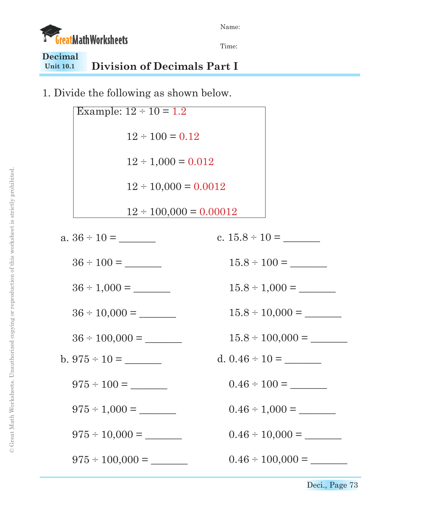



Time:

## **Unit 10.1 Decimal Division of Decimals Part I**

1. Divide the following as shown below.



Deci., Page 73